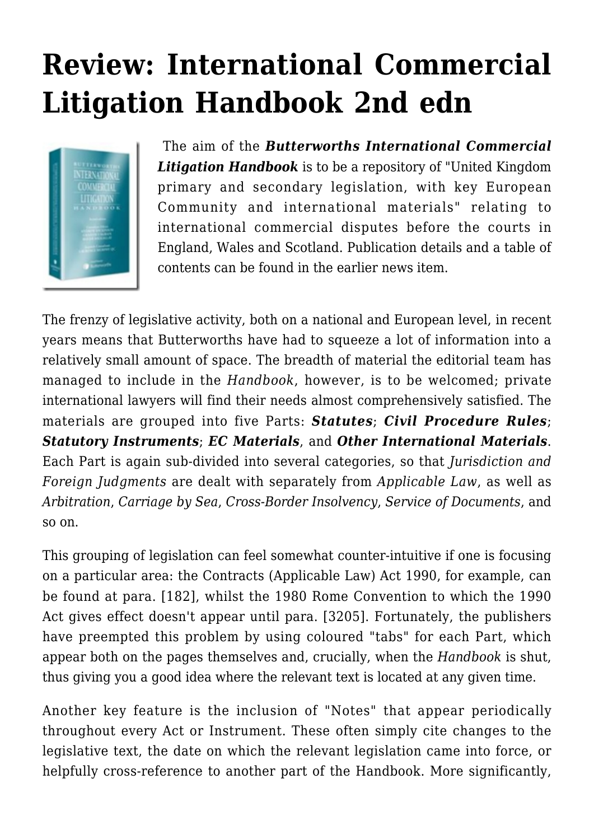## **[Review: International Commercial](https://conflictoflaws.net/2006/review-international-commercial-litigation-handbook-2nd-edn/) [Litigation Handbook 2nd edn](https://conflictoflaws.net/2006/review-international-commercial-litigation-handbook-2nd-edn/)**



 The aim of the *Butterworths International Commercial Litigation Handbook* is to be a repository of "United Kingdom primary and secondary legislation, with key European Community and international materials" relating to international commercial disputes before the courts in England, Wales and Scotland. Publication details and a table of contents can be found in the earlier [news item.](https://conflictoflaws.de/2006/publications/publication-international-commercial-litigation-handbook-2nd-edn/)

The frenzy of legislative activity, both on a national and European level, in recent years means that Butterworths have had to squeeze a lot of information into a relatively small amount of space. The breadth of material the editorial team has managed to include in the *Handbook*, however, is to be welcomed; private international lawyers will find their needs almost comprehensively satisfied. The materials are grouped into five Parts: *Statutes*; *Civil Procedure Rules*; *Statutory Instruments*; *EC Materials*, and *Other International Materials*. Each Part is again sub-divided into several categories, so that *Jurisdiction and Foreign Judgments* are dealt with separately from *Applicable Law*, as well as *Arbitration*, *Carriage by Sea*, *Cross-Border Insolvency*, *Service of Documents*, and so on.

This grouping of legislation can feel somewhat counter-intuitive if one is focusing on a particular area: the Contracts (Applicable Law) Act 1990, for example, can be found at para. [182], whilst the 1980 Rome Convention to which the 1990 Act gives effect doesn't appear until para. [3205]. Fortunately, the publishers have preempted this problem by using coloured "tabs" for each Part, which appear both on the pages themselves and, crucially, when the *Handbook* is shut, thus giving you a good idea where the relevant text is located at any given time.

Another key feature is the inclusion of "Notes" that appear periodically throughout every Act or Instrument. These often simply cite changes to the legislative text, the date on which the relevant legislation came into force, or helpfully cross-reference to another part of the Handbook. More significantly,